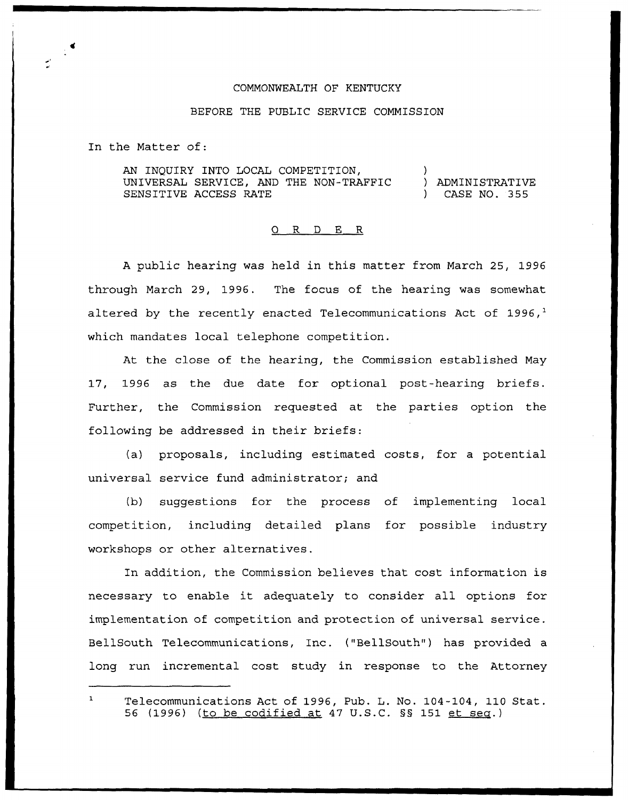## COMMONWEALTH OF KENTUCKY

## BEFORE THE PUBLIC SERVICE COMMISSION

In the Matter of:

AN INQUIRY INTO LOCAL COMPETITION, UNIVERSAL SERVICE, AND THE NON-TRAFFIC SENSITIVE ACCESS RATE ) ) ADMINISTRATIV ) CASE NO. 355

## 0 R <sup>D</sup> E R

<sup>A</sup> public hearing was held in this matter from March 25, 1996 through March 29, 1996. The focus of the hearing was somewhat altered by the recently enacted Telecommunications Act of 1996, $<sup>1</sup>$ </sup> which mandates local telephone competition.

At the close of the hearing, the Commission established May 17, 1996 as the due date for optional post-hearing briefs. Further, the Commission requested at the parties option the following be addressed in their briefs:

(a) proposals, including estimated costs, for a potential universal service fund administrator; and

(b) suggestions for the process of implementing local competition, including detailed plans for possible industry workshops or other alternatives.

In addition, the Commission believes that cost information is necessary to enable it adequately to consider all options for implementation of competition and protection of universal service. BellSouth Telecommunications, Inc. ("BellSouth") has provided a long run incremental cost study in response to the Attorney

Telecommunications Act of 1996, Pub. L. No. 104-104, 110 Stat. 56 (1996) (to be codified at 47 U.S.C. 55 151 et sea.)